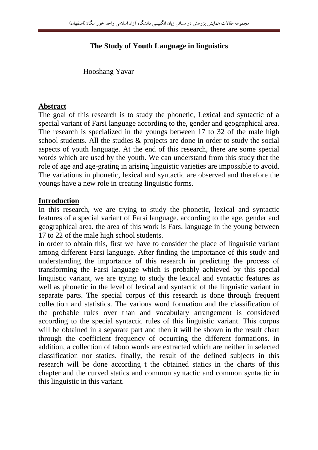# **The Study of Youth Language in linguistics**

Hooshang Yavar

#### **Abstract**

The goal of this research is to study the phonetic, Lexical and syntactic of a special variant of Farsi language according to the, gender and geographical area. The research is specialized in the youngs between 17 to 32 of the male high school students. All the studies & projects are done in order to study the social aspects of youth language. At the end of this research, there are some special words which are used by the youth. We can understand from this study that the role of age and age-grating in arising linguistic varieties are impossible to avoid. The variations in phonetic, lexical and syntactic are observed and therefore the youngs have a new role in creating linguistic forms.

#### **Introduction**

In this research, we are trying to study the phonetic, lexical and syntactic features of a special variant of Farsi language. according to the age, gender and geographical area. the area of this work is Fars. language in the young between 17 to 22 of the male high school students.

in order to obtain this, first we have to consider the place of linguistic variant among different Farsi language. After finding the importance of this study and understanding the importance of this research in predicting the process of transforming the Farsi language which is probably achieved by this special linguistic variant, we are trying to study the lexical and syntactic features as well as phonetic in the level of lexical and syntactic of the linguistic variant in separate parts. The special corpus of this research is done through frequent collection and statistics. The various word formation and the classification of the probable rules over than and vocabulary arrangement is considered according to the special syntactic rules of this linguistic variant. This corpus will be obtained in a separate part and then it will be shown in the result chart through the coefficient frequency of occurring the different formations. in addition, a collection of taboo words are extracted which are neither in selected classification nor statics. finally, the result of the defined subjects in this research will be done according t the obtained statics in the charts of this chapter and the curved statics and common syntactic and common syntactic in this linguistic in this variant.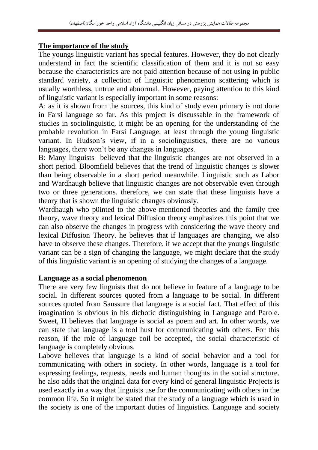#### **The importance of the study**

The youngs linguistic variant has special features. However, they do not clearly understand in fact the scientific classification of them and it is not so easy because the characteristics are not paid attention because of not using in public standard variety, a collection of linguistic phenomenon scattering which is usually worthless, untrue and abnormal. However, paying attention to this kind of linguistic variant is especially important in some reasons:

A: as it is shown from the sources, this kind of study even primary is not done in Farsi language so far. As this project is discussable in the framework of studies in sociolinguistic, it might be an opening for the understanding of the probable revolution in Farsi Language, at least through the young linguistic variant. In Hudson's view, if in a sociolinguistics, there are no various languages, there won't be any changes in languages.

B: Many linguists believed that the linguistic changes are not observed in a short period. Bloomfield believes that the trend of linguistic changes is slower than being observable in a short period meanwhile. Linguistic such as Labor and Wardhaugh believe that linguistic changes are not observable even through two or three generations. therefore, we can state that these linguists have a theory that is shown the linguistic changes obviously.

Wardhaugh who p0inted to the above-mentioned theories and the family tree theory, wave theory and lexical Diffusion theory emphasizes this point that we can also observe the changes in progress with considering the wave theory and lexical Diffusion Theory. he believes that if languages are changing, we also have to observe these changes. Therefore, if we accept that the youngs linguistic variant can be a sign of changing the language, we might declare that the study of this linguistic variant is an opening of studying the changes of a language.

#### **Language as a social phenomenon**

There are very few linguists that do not believe in feature of a language to be social. In different sources quoted from a language to be social. In different sources quoted from Saussure that language is a social fact. That effect of this imagination is obvious in his dichotic distinguishing in Language and Parole. Sweet, H believes that language is social as poem and art. In other words, we can state that language is a tool hust for communicating with others. For this reason, if the role of language coil be accepted, the social characteristic of language is completely obvious.

Labove believes that language is a kind of social behavior and a tool for communicating with others in society. In other words, language is a tool for expressing feelings, requests, needs and human thoughts in the social structure. he also adds that the original data for every kind of general linguistic Projects is used exactly in a way that linguists use for the communicating with others in the common life. So it might be stated that the study of a language which is used in the society is one of the important duties of linguistics. Language and society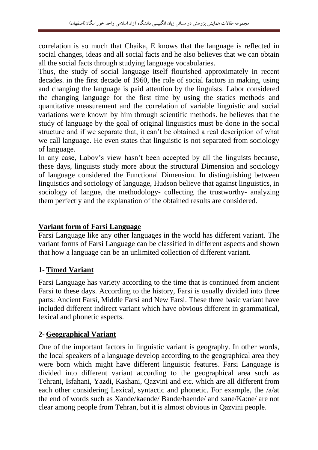correlation is so much that Chaika, E knows that the language is reflected in social changes, ideas and all social facts and he also believes that we can obtain all the social facts through studying language vocabularies.

Thus, the study of social language itself flourished approximately in recent decades. in the first decade of 1960, the role of social factors in making, using and changing the language is paid attention by the linguists. Labor considered the changing language for the first time by using the statics methods and quantitative measurement and the correlation of variable linguistic and social variations were known by him through scientific methods. he believes that the study of language by the goal of original linguistics must be done in the social structure and if we separate that, it can't be obtained a real description of what we call language. He even states that linguistic is not separated from sociology of language.

In any case, Labov's view hasn't been accepted by all the linguists because, these days, linguists study more about the structural Dimension and sociology of language considered the Functional Dimension. In distinguishing between linguistics and sociology of language, Hudson believe that against linguistics, in sociology of langue, the methodology- collecting the trustworthy- analyzing them perfectly and the explanation of the obtained results are considered.

# **Variant form of Farsi Language**

Farsi Language like any other languages in the world has different variant. The variant forms of Farsi Language can be classified in different aspects and shown that how a language can be an unlimited collection of different variant.

## **1- Timed Variant**

Farsi Language has variety according to the time that is continued from ancient Farsi to these days. According to the history, Farsi is usually divided into three parts: Ancient Farsi, Middle Farsi and New Farsi. These three basic variant have included different indirect variant which have obvious different in grammatical, lexical and phonetic aspects.

## **2- Geographical Variant**

One of the important factors in linguistic variant is geography. In other words, the local speakers of a language develop according to the geographical area they were born which might have different linguistic features. Farsi Language is divided into different variant according to the geographical area such as Tehrani, Isfahani, Yazdi, Kashani, Qazvini and etc. which are all different from each other considering Lexical, syntactic and phonetic. For example, the /a/at the end of words such as Xande/kaende/ Bande/baende/ and xane/Ka:ne/ are not clear among people from Tehran, but it is almost obvious in Qazvini people.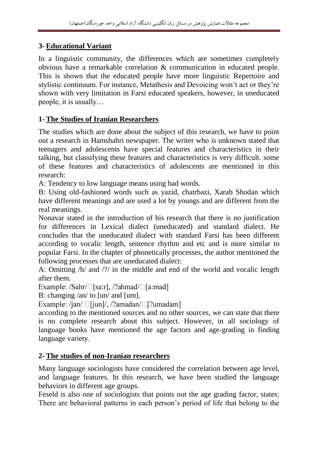# **3- Educational Variant**

In a linguistic community, the differences which are sometimes completely obvious have a remarkable correlation & communication in educated people. This is shown that the educated people have more linguistic Repertoire and stylistic continuum. For instance, Metathesis and Devoicing won't act or they're shown with very limitation in Farsi educated speakers, however, in uneducated people, it is usually…

# **1- The Studies of Iranian Researchers**

The studies which are done about the subject of this research, we have to point out a research in Hamshahri newspaper. The writer who is unknown stated that teenagers and adolescents have special features and characteristics in their talking, but classifying these features and characteristics is very difficult. some of these features and characteristics of adolescents are mentioned in this research:

A: Tendency to low language means using bad words.

B: Using old-fashioned words such as yazid, chatrbazi, Xarab Shodan which have different meanings and are used a lot by youngs and are different from the real meanings.

Nonavar stated in the introduction of his research that there is no justification for differences in Lexical dialect (uneducated) and standard dialect. He concludes that the uneducated dialect with standard Farsi has been different according to vocalic length, sentence rhythm and etc and is more similar to popular Farsi. In the chapter of phonetically processes, the author mentioned the following processes that are uneducated dialect:

A: Omitting /h/ and /?/ in the middle and end of the world and vocalic length after them.

Example: /Sahr/ $\Box$ [sa:r], /?ahmad/ $\Box$ [a:mad]

B: changing /an/ to [un/ and [um].

Example: /jan/  $\Box$ [jun]/, /?amadan/ $\Box$ [?umadam]

according to the mentioned sources and no other sources, we can state that there is no complete research about this subject. However, in all sociology of language books have mentioned the age factors and age-grading in finding language variety.

## **2- The studies of non-Iranian researchers**

Many language sociologists have considered the correlation between age level, and language features. In this research, we have been studied the language behaviors in different age groups.

Feseld is also one of sociologists that points out the age grading factor, states: There are behavioral patterns in each person's period of life that belong to the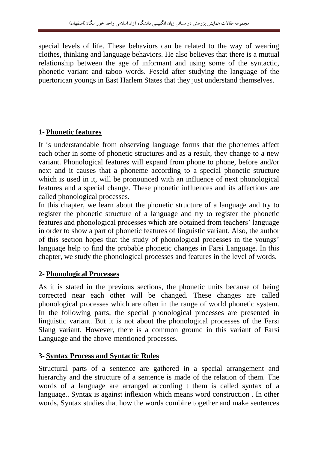special levels of life. These behaviors can be related to the way of wearing clothes, thinking and language behaviors. He also believes that there is a mutual relationship between the age of informant and using some of the syntactic, phonetic variant and taboo words. Feseld after studying the language of the puertorican youngs in East Harlem States that they just understand themselves.

# **1- Phonetic features**

It is understandable from observing language forms that the phonemes affect each other in some of phonetic structures and as a result, they change to a new variant. Phonological features will expand from phone to phone, before and/or next and it causes that a phoneme according to a special phonetic structure which is used in it, will be pronounced with an influence of next phonological features and a special change. These phonetic influences and its affections are called phonological processes.

In this chapter, we learn about the phonetic structure of a language and try to register the phonetic structure of a language and try to register the phonetic features and phonological processes which are obtained from teachers' language in order to show a part of phonetic features of linguistic variant. Also, the author of this section hopes that the study of phonological processes in the youngs' language help to find the probable phonetic changes in Farsi Language. In this chapter, we study the phonological processes and features in the level of words.

## **2- Phonological Processes**

As it is stated in the previous sections, the phonetic units because of being corrected near each other will be changed. These changes are called phonological processes which are often in the range of world phonetic system. In the following parts, the special phonological processes are presented in linguistic variant. But it is not about the phonological processes of the Farsi Slang variant. However, there is a common ground in this variant of Farsi Language and the above-mentioned processes.

# **3- Syntax Process and Syntactic Rules**

Structural parts of a sentence are gathered in a special arrangement and hierarchy and the structure of a sentence is made of the relation of them. The words of a language are arranged according t them is called syntax of a language.. Syntax is against inflexion which means word construction . In other words, Syntax studies that how the words combine together and make sentences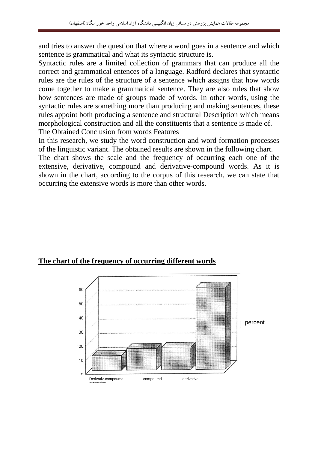and tries to answer the question that where a word goes in a sentence and which sentence is grammatical and what its syntactic structure is.

Syntactic rules are a limited collection of grammars that can produce all the correct and grammatical entences of a language. Radford declares that syntactic rules are the rules of the structure of a sentence which assigns that how words come together to make a grammatical sentence. They are also rules that show how sentences are made of groups made of words. In other words, using the syntactic rules are something more than producing and making sentences, these rules appoint both producing a sentence and structural Description which means morphological construction and all the constituents that a sentence is made of. The Obtained Conclusion from words Features

In this research, we study the word construction and word formation processes of the linguistic variant. The obtained results are shown in the following chart.

The chart shows the scale and the frequency of occurring each one of the extensive, derivative, compound and derivative-compound words. As it is shown in the chart, according to the corpus of this research, we can state that occurring the extensive words is more than other words.



## **The chart of the frequency of occurring different words**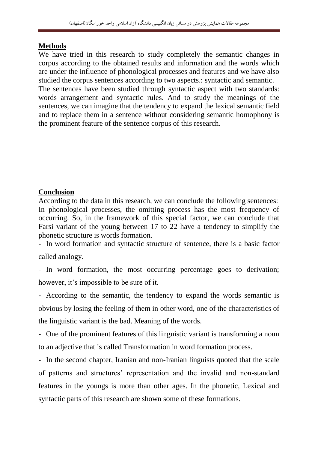## **Methods**

We have tried in this research to study completely the semantic changes in corpus according to the obtained results and information and the words which are under the influence of phonological processes and features and we have also studied the corpus sentences according to two aspects.: syntactic and semantic. The sentences have been studied through syntactic aspect with two standards: words arrangement and syntactic rules. And to study the meanings of the sentences, we can imagine that the tendency to expand the lexical semantic field and to replace them in a sentence without considering semantic homophony is the prominent feature of the sentence corpus of this research.

# **Conclusion**

According to the data in this research, we can conclude the following sentences: In phonological processes, the omitting process has the most frequency of occurring. So, in the framework of this special factor, we can conclude that Farsi variant of the young between 17 to 22 have a tendency to simplify the phonetic structure is words formation.

- In word formation and syntactic structure of sentence, there is a basic factor called analogy.

- In word formation, the most occurring percentage goes to derivation; however, it's impossible to be sure of it.

- According to the semantic, the tendency to expand the words semantic is obvious by losing the feeling of them in other word, one of the characteristics of the linguistic variant is the bad. Meaning of the words.

- One of the prominent features of this linguistic variant is transforming a noun to an adjective that is called Transformation in word formation process.

- In the second chapter, Iranian and non-Iranian linguists quoted that the scale of patterns and structures' representation and the invalid and non-standard features in the youngs is more than other ages. In the phonetic, Lexical and syntactic parts of this research are shown some of these formations.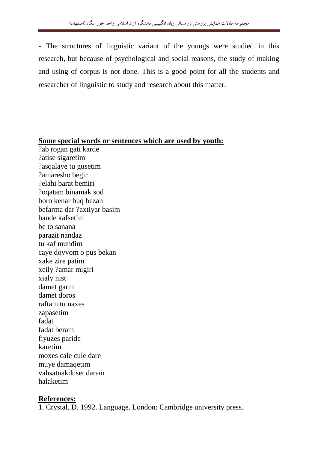- The structures of linguistic variant of the youngs were studied in this research, but because of psychological and social reasons, the study of making and using of corpus is not done. This is a good point for all the students and researcher of linguistic to study and research about this matter.

#### **Some special words or sentences which are used by youth:**

?ab rogan gati karde ?atise sigaretim ?asqalaye tu gusetim ?amaresho begir ?elahi barat bemiri ?oqatam binamak sod boro kenar buq bezan befarma dar ?axtiyar basim bande kafsetim be to sanana parazit nandaz tu kaf mundim caye dovvom o pus bekan xake zire patim xeily ?amar migiri xialy nist damet garm damet doros raftam tu naxes zapasetim fadat fadat beram fiyuzes paride karetim moxes cale cule dare muye damaqetim vahsatnakduset daram halaketim

#### **References:**

1. Crystal, D. 1992. Language. London: Cambridge university press.